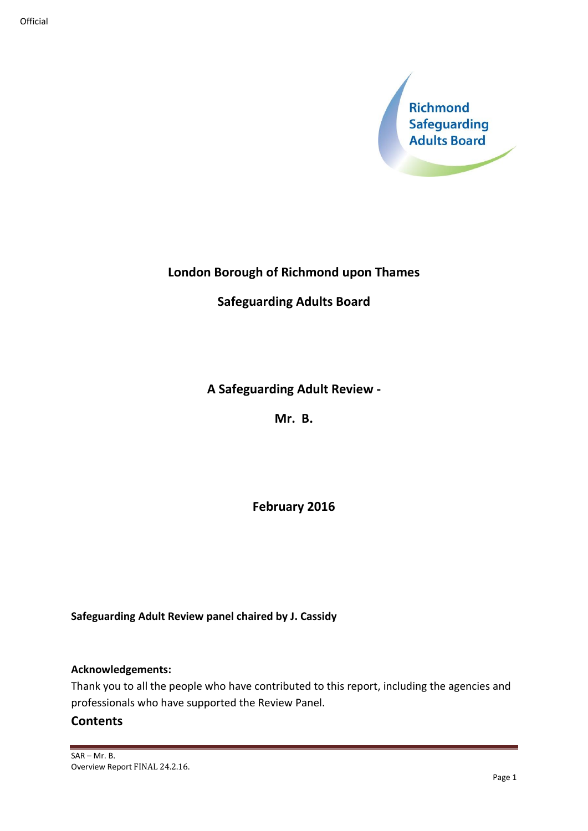

# **London Borough of Richmond upon Thames**

## **Safeguarding Adults Board**

## **A Safeguarding Adult Review -**

**Mr. B.**

**February 2016**

**Safeguarding Adult Review panel chaired by J. Cassidy**

### **Acknowledgements:**

Thank you to all the people who have contributed to this report, including the agencies and professionals who have supported the Review Panel.

## **Contents**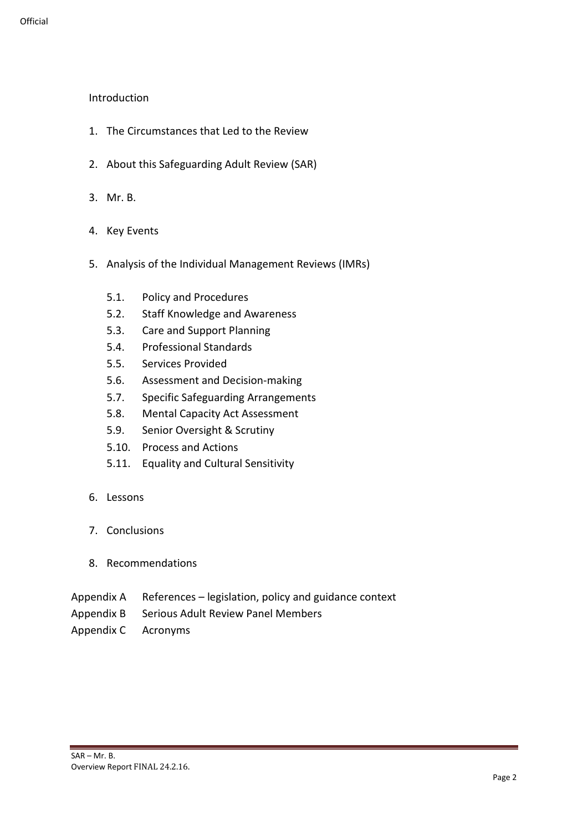### Introduction

- 1. The Circumstances that Led to the Review
- 2. About this Safeguarding Adult Review (SAR)
- 3. Mr. B.
- 4. Key Events
- 5. Analysis of the Individual Management Reviews (IMRs)
	- 5.1. Policy and Procedures
	- 5.2. Staff Knowledge and Awareness
	- 5.3. Care and Support Planning
	- 5.4. Professional Standards
	- 5.5. Services Provided
	- 5.6. Assessment and Decision-making
	- 5.7. Specific Safeguarding Arrangements
	- 5.8. Mental Capacity Act Assessment
	- 5.9. Senior Oversight & Scrutiny
	- 5.10. Process and Actions
	- 5.11. Equality and Cultural Sensitivity
- 6. Lessons
- 7. Conclusions
- 8. Recommendations
- Appendix A References legislation, policy and guidance context
- Appendix B Serious Adult Review Panel Members
- Appendix C Acronyms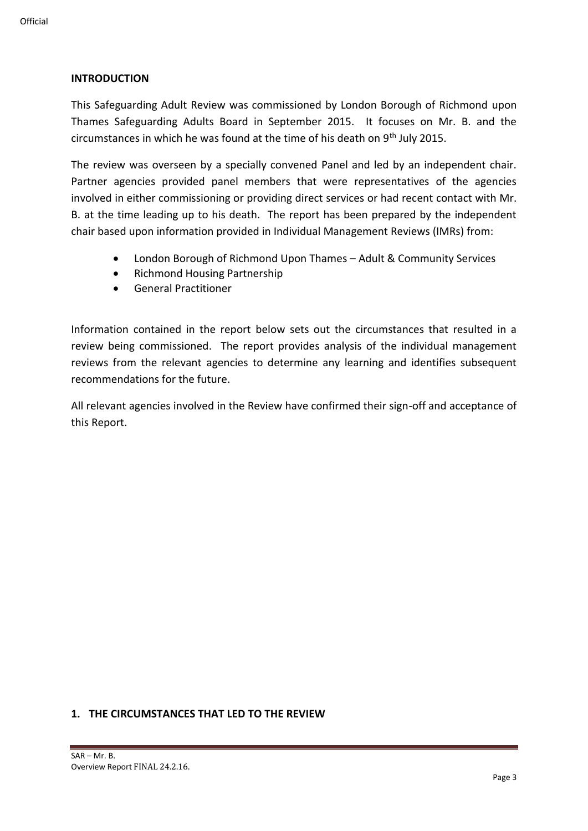#### **INTRODUCTION**

This Safeguarding Adult Review was commissioned by London Borough of Richmond upon Thames Safeguarding Adults Board in September 2015. It focuses on Mr. B. and the circumstances in which he was found at the time of his death on  $9<sup>th</sup>$  July 2015.

The review was overseen by a specially convened Panel and led by an independent chair. Partner agencies provided panel members that were representatives of the agencies involved in either commissioning or providing direct services or had recent contact with Mr. B. at the time leading up to his death. The report has been prepared by the independent chair based upon information provided in Individual Management Reviews (IMRs) from:

- London Borough of Richmond Upon Thames Adult & Community Services
- Richmond Housing Partnership
- General Practitioner

Information contained in the report below sets out the circumstances that resulted in a review being commissioned. The report provides analysis of the individual management reviews from the relevant agencies to determine any learning and identifies subsequent recommendations for the future.

All relevant agencies involved in the Review have confirmed their sign-off and acceptance of this Report.

#### **1. THE CIRCUMSTANCES THAT LED TO THE REVIEW**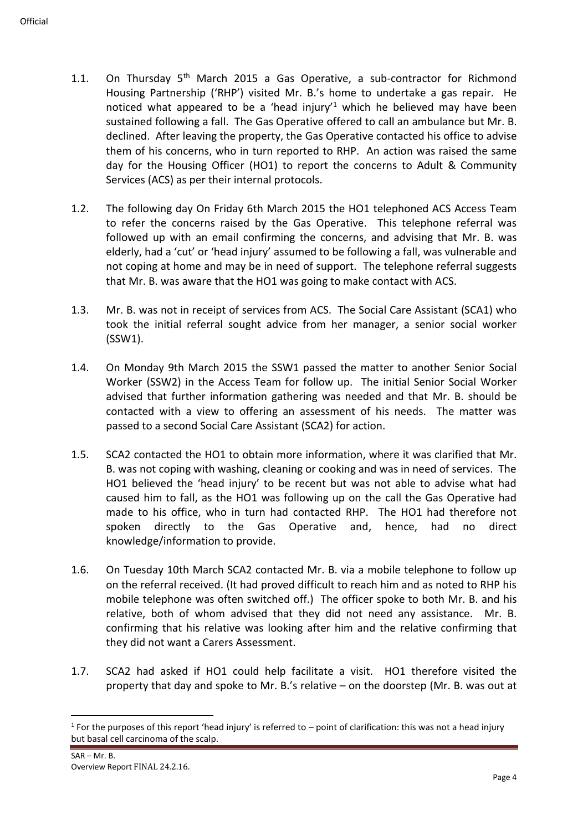- 1.1. On Thursday  $5<sup>th</sup>$  March 2015 a Gas Operative, a sub-contractor for Richmond Housing Partnership ('RHP') visited Mr. B.'s home to undertake a gas repair. He noticed what appeared to be a 'head injury'<sup>1</sup> which he believed may have been sustained following a fall. The Gas Operative offered to call an ambulance but Mr. B. declined. After leaving the property, the Gas Operative contacted his office to advise them of his concerns, who in turn reported to RHP. An action was raised the same day for the Housing Officer (HO1) to report the concerns to Adult & Community Services (ACS) as per their internal protocols.
- 1.2. The following day On Friday 6th March 2015 the HO1 telephoned ACS Access Team to refer the concerns raised by the Gas Operative. This telephone referral was followed up with an email confirming the concerns, and advising that Mr. B. was elderly, had a 'cut' or 'head injury' assumed to be following a fall, was vulnerable and not coping at home and may be in need of support. The telephone referral suggests that Mr. B. was aware that the HO1 was going to make contact with ACS.
- 1.3. Mr. B. was not in receipt of services from ACS. The Social Care Assistant (SCA1) who took the initial referral sought advice from her manager, a senior social worker (SSW1).
- 1.4. On Monday 9th March 2015 the SSW1 passed the matter to another Senior Social Worker (SSW2) in the Access Team for follow up. The initial Senior Social Worker advised that further information gathering was needed and that Mr. B. should be contacted with a view to offering an assessment of his needs. The matter was passed to a second Social Care Assistant (SCA2) for action.
- 1.5. SCA2 contacted the HO1 to obtain more information, where it was clarified that Mr. B. was not coping with washing, cleaning or cooking and was in need of services. The HO1 believed the 'head injury' to be recent but was not able to advise what had caused him to fall, as the HO1 was following up on the call the Gas Operative had made to his office, who in turn had contacted RHP. The HO1 had therefore not spoken directly to the Gas Operative and, hence, had no direct knowledge/information to provide.
- 1.6. On Tuesday 10th March SCA2 contacted Mr. B. via a mobile telephone to follow up on the referral received. (It had proved difficult to reach him and as noted to RHP his mobile telephone was often switched off.) The officer spoke to both Mr. B. and his relative, both of whom advised that they did not need any assistance. Mr. B. confirming that his relative was looking after him and the relative confirming that they did not want a Carers Assessment.
- 1.7. SCA2 had asked if HO1 could help facilitate a visit. HO1 therefore visited the property that day and spoke to Mr. B.'s relative – on the doorstep (Mr. B. was out at

 $1$  For the purposes of this report 'head injury' is referred to  $-$  point of clarification: this was not a head injury but basal cell carcinoma of the scalp.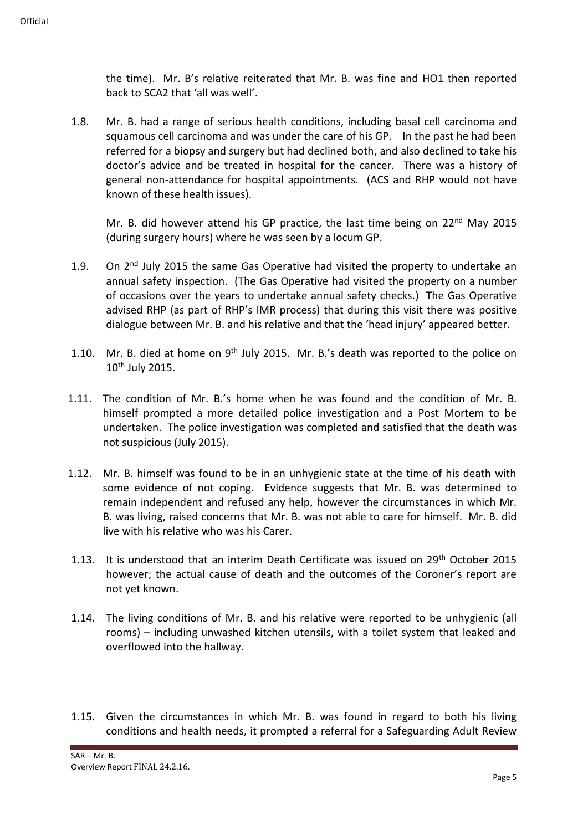the time). Mr. B's relative reiterated that Mr. B. was fine and HO1 then reported back to SCA2 that 'all was well'.

1.8. Mr. B. had a range of serious health conditions, including basal cell carcinoma and squamous cell carcinoma and was under the care of his GP. In the past he had been referred for a biopsy and surgery but had declined both, and also declined to take his doctor's advice and be treated in hospital for the cancer. There was a history of general non-attendance for hospital appointments. (ACS and RHP would not have known of these health issues).

Mr. B. did however attend his GP practice, the last time being on  $22^{nd}$  May 2015 (during surgery hours) where he was seen by a locum GP.

- 1.9. On 2<sup>nd</sup> July 2015 the same Gas Operative had visited the property to undertake an annual safety inspection. (The Gas Operative had visited the property on a number of occasions over the years to undertake annual safety checks.) The Gas Operative advised RHP (as part of RHP's IMR process) that during this visit there was positive dialogue between Mr. B. and his relative and that the 'head injury' appeared better.
- 1.10. Mr. B. died at home on 9<sup>th</sup> July 2015. Mr. B.'s death was reported to the police on 10th July 2015.
- 1.11. The condition of Mr. B.'s home when he was found and the condition of Mr. B. himself prompted a more detailed police investigation and a Post Mortem to be undertaken. The police investigation was completed and satisfied that the death was not suspicious (July 2015).
- 1.12. Mr. B. himself was found to be in an unhygienic state at the time of his death with some evidence of not coping. Evidence suggests that Mr. B. was determined to remain independent and refused any help, however the circumstances in which Mr. B. was living, raised concerns that Mr. B. was not able to care for himself. Mr. B. did live with his relative who was his Carer.
- 1.13. It is understood that an interim Death Certificate was issued on  $29<sup>th</sup>$  October 2015 however; the actual cause of death and the outcomes of the Coroner's report are not yet known.
- 1.14. The living conditions of Mr. B. and his relative were reported to be unhygienic (all rooms) – including unwashed kitchen utensils, with a toilet system that leaked and overflowed into the hallway.
- 1.15. Given the circumstances in which Mr. B. was found in regard to both his living conditions and health needs, it prompted a referral for a Safeguarding Adult Review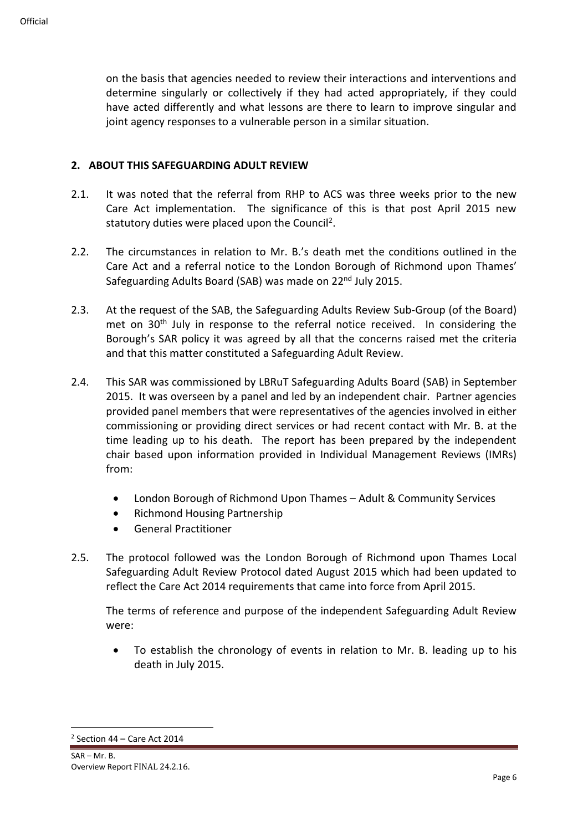on the basis that agencies needed to review their interactions and interventions and determine singularly or collectively if they had acted appropriately, if they could have acted differently and what lessons are there to learn to improve singular and joint agency responses to a vulnerable person in a similar situation.

### **2. ABOUT THIS SAFEGUARDING ADULT REVIEW**

- 2.1. It was noted that the referral from RHP to ACS was three weeks prior to the new Care Act implementation. The significance of this is that post April 2015 new statutory duties were placed upon the Council<sup>2</sup>.
- 2.2. The circumstances in relation to Mr. B.'s death met the conditions outlined in the Care Act and a referral notice to the London Borough of Richmond upon Thames' Safeguarding Adults Board (SAB) was made on 22<sup>nd</sup> July 2015.
- 2.3. At the request of the SAB, the Safeguarding Adults Review Sub-Group (of the Board) met on 30<sup>th</sup> July in response to the referral notice received. In considering the Borough's SAR policy it was agreed by all that the concerns raised met the criteria and that this matter constituted a Safeguarding Adult Review.
- 2.4. This SAR was commissioned by LBRuT Safeguarding Adults Board (SAB) in September 2015. It was overseen by a panel and led by an independent chair. Partner agencies provided panel members that were representatives of the agencies involved in either commissioning or providing direct services or had recent contact with Mr. B. at the time leading up to his death. The report has been prepared by the independent chair based upon information provided in Individual Management Reviews (IMRs) from:
	- London Borough of Richmond Upon Thames Adult & Community Services
	- Richmond Housing Partnership
	- General Practitioner
- 2.5. The protocol followed was the London Borough of Richmond upon Thames Local Safeguarding Adult Review Protocol dated August 2015 which had been updated to reflect the Care Act 2014 requirements that came into force from April 2015.

The terms of reference and purpose of the independent Safeguarding Adult Review were:

• To establish the chronology of events in relation to Mr. B. leading up to his death in July 2015.

 $2$  Section 44 – Care Act 2014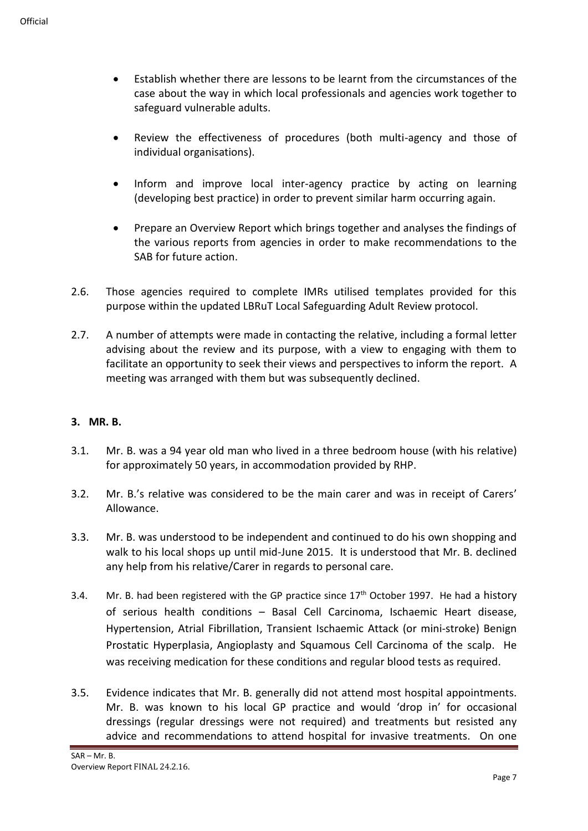- Establish whether there are lessons to be learnt from the circumstances of the case about the way in which local professionals and agencies work together to safeguard vulnerable adults.
- Review the effectiveness of procedures (both multi-agency and those of individual organisations).
- Inform and improve local inter-agency practice by acting on learning (developing best practice) in order to prevent similar harm occurring again.
- Prepare an Overview Report which brings together and analyses the findings of the various reports from agencies in order to make recommendations to the SAB for future action.
- 2.6. Those agencies required to complete IMRs utilised templates provided for this purpose within the updated LBRuT Local Safeguarding Adult Review protocol.
- 2.7. A number of attempts were made in contacting the relative, including a formal letter advising about the review and its purpose, with a view to engaging with them to facilitate an opportunity to seek their views and perspectives to inform the report. A meeting was arranged with them but was subsequently declined.

### **3. MR. B.**

- 3.1. Mr. B. was a 94 year old man who lived in a three bedroom house (with his relative) for approximately 50 years, in accommodation provided by RHP.
- 3.2. Mr. B.'s relative was considered to be the main carer and was in receipt of Carers' Allowance.
- 3.3. Mr. B. was understood to be independent and continued to do his own shopping and walk to his local shops up until mid-June 2015. It is understood that Mr. B. declined any help from his relative/Carer in regards to personal care.
- 3.4. Mr. B. had been registered with the GP practice since  $17<sup>th</sup>$  October 1997. He had a history of serious health conditions – Basal Cell Carcinoma, Ischaemic Heart disease, Hypertension, Atrial Fibrillation, Transient Ischaemic Attack (or mini-stroke) Benign Prostatic Hyperplasia, Angioplasty and Squamous Cell Carcinoma of the scalp. He was receiving medication for these conditions and regular blood tests as required.
- 3.5. Evidence indicates that Mr. B. generally did not attend most hospital appointments. Mr. B. was known to his local GP practice and would 'drop in' for occasional dressings (regular dressings were not required) and treatments but resisted any advice and recommendations to attend hospital for invasive treatments. On one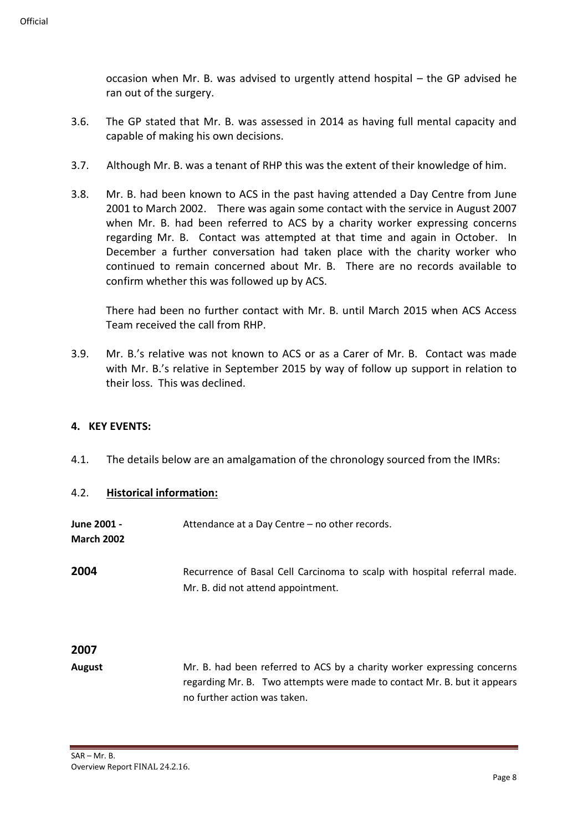occasion when Mr. B. was advised to urgently attend hospital – the GP advised he ran out of the surgery.

- 3.6. The GP stated that Mr. B. was assessed in 2014 as having full mental capacity and capable of making his own decisions.
- 3.7. Although Mr. B. was a tenant of RHP this was the extent of their knowledge of him.
- 3.8. Mr. B. had been known to ACS in the past having attended a Day Centre from June 2001 to March 2002. There was again some contact with the service in August 2007 when Mr. B. had been referred to ACS by a charity worker expressing concerns regarding Mr. B. Contact was attempted at that time and again in October. In December a further conversation had taken place with the charity worker who continued to remain concerned about Mr. B. There are no records available to confirm whether this was followed up by ACS.

There had been no further contact with Mr. B. until March 2015 when ACS Access Team received the call from RHP.

3.9. Mr. B.'s relative was not known to ACS or as a Carer of Mr. B. Contact was made with Mr. B.'s relative in September 2015 by way of follow up support in relation to their loss. This was declined.

#### **4. KEY EVENTS:**

4.1. The details below are an amalgamation of the chronology sourced from the IMRs:

#### 4.2. **Historical information:**

**June 2001 -** Attendance at a Day Centre – no other records. **March 2002 2004** Recurrence of Basal Cell Carcinoma to scalp with hospital referral made. Mr. B. did not attend appointment.

### **2007**

**August** Mr. B. had been referred to ACS by a charity worker expressing concerns regarding Mr. B. Two attempts were made to contact Mr. B. but it appears no further action was taken.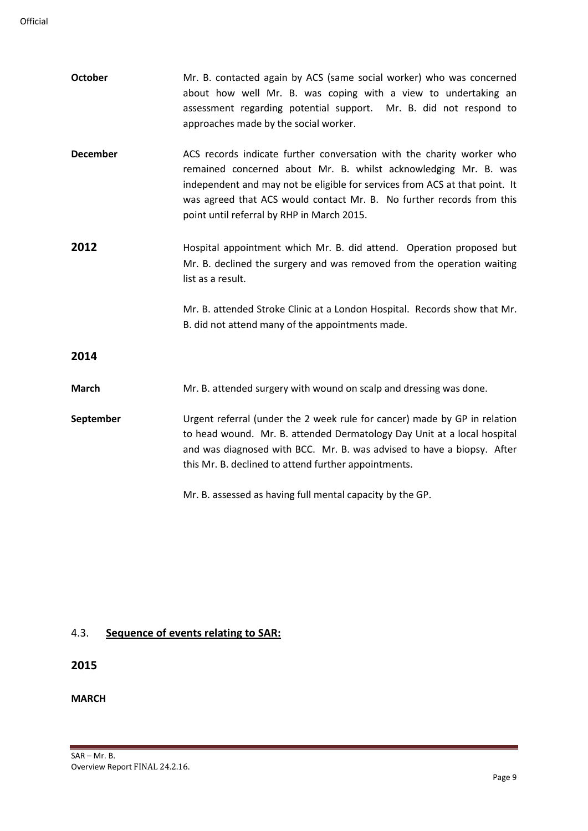| <b>October</b>  | Mr. B. contacted again by ACS (same social worker) who was concerned<br>about how well Mr. B. was coping with a view to undertaking an<br>assessment regarding potential support. Mr. B. did not respond to<br>approaches made by the social worker.                                                                                           |
|-----------------|------------------------------------------------------------------------------------------------------------------------------------------------------------------------------------------------------------------------------------------------------------------------------------------------------------------------------------------------|
| <b>December</b> | ACS records indicate further conversation with the charity worker who<br>remained concerned about Mr. B. whilst acknowledging Mr. B. was<br>independent and may not be eligible for services from ACS at that point. It<br>was agreed that ACS would contact Mr. B. No further records from this<br>point until referral by RHP in March 2015. |
| 2012            | Hospital appointment which Mr. B. did attend. Operation proposed but<br>Mr. B. declined the surgery and was removed from the operation waiting<br>list as a result.                                                                                                                                                                            |
|                 | Mr. B. attended Stroke Clinic at a London Hospital. Records show that Mr.<br>B. did not attend many of the appointments made.                                                                                                                                                                                                                  |
| 2014            |                                                                                                                                                                                                                                                                                                                                                |
| <b>March</b>    | Mr. B. attended surgery with wound on scalp and dressing was done.                                                                                                                                                                                                                                                                             |
| September       | Urgent referral (under the 2 week rule for cancer) made by GP in relation<br>to head wound. Mr. B. attended Dermatology Day Unit at a local hospital<br>and was diagnosed with BCC. Mr. B. was advised to have a biopsy. After<br>this Mr. B. declined to attend further appointments.                                                         |
|                 | Mr. B. assessed as having full mental capacity by the GP.                                                                                                                                                                                                                                                                                      |

## 4.3. **Sequence of events relating to SAR:**

## **2015**

### **MARCH**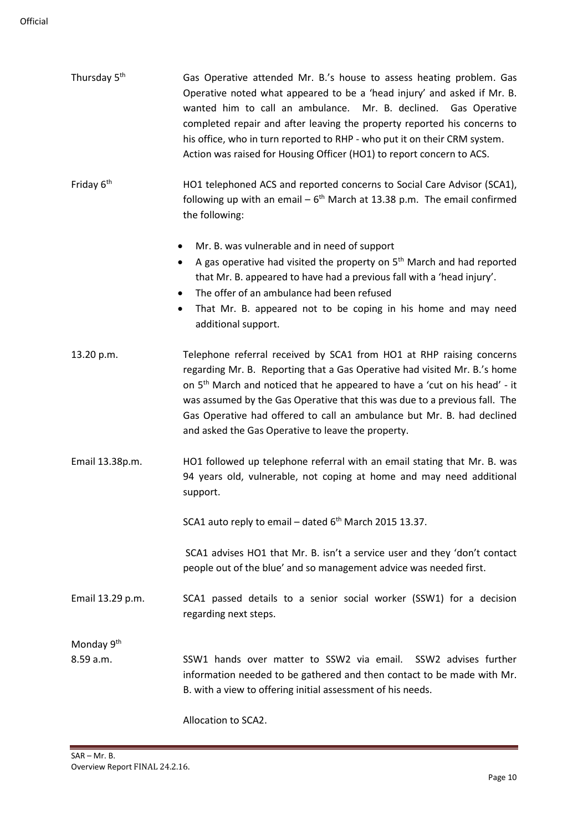| Thursday 5 <sup>th</sup>            | Gas Operative attended Mr. B.'s house to assess heating problem. Gas<br>Operative noted what appeared to be a 'head injury' and asked if Mr. B.<br>wanted him to call an ambulance. Mr. B. declined. Gas Operative<br>completed repair and after leaving the property reported his concerns to<br>his office, who in turn reported to RHP - who put it on their CRM system.<br>Action was raised for Housing Officer (HO1) to report concern to ACS.      |
|-------------------------------------|-----------------------------------------------------------------------------------------------------------------------------------------------------------------------------------------------------------------------------------------------------------------------------------------------------------------------------------------------------------------------------------------------------------------------------------------------------------|
| Friday 6 <sup>th</sup>              | HO1 telephoned ACS and reported concerns to Social Care Advisor (SCA1),<br>following up with an email $-6$ <sup>th</sup> March at 13.38 p.m. The email confirmed<br>the following:                                                                                                                                                                                                                                                                        |
|                                     | Mr. B. was vulnerable and in need of support<br>A gas operative had visited the property on 5 <sup>th</sup> March and had reported<br>٠<br>that Mr. B. appeared to have had a previous fall with a 'head injury'.<br>The offer of an ambulance had been refused<br>That Mr. B. appeared not to be coping in his home and may need<br>٠<br>additional support.                                                                                             |
| 13.20 p.m.                          | Telephone referral received by SCA1 from HO1 at RHP raising concerns<br>regarding Mr. B. Reporting that a Gas Operative had visited Mr. B.'s home<br>on 5 <sup>th</sup> March and noticed that he appeared to have a 'cut on his head' - it<br>was assumed by the Gas Operative that this was due to a previous fall. The<br>Gas Operative had offered to call an ambulance but Mr. B. had declined<br>and asked the Gas Operative to leave the property. |
| Email 13.38p.m.                     | HO1 followed up telephone referral with an email stating that Mr. B. was<br>94 years old, vulnerable, not coping at home and may need additional<br>support.                                                                                                                                                                                                                                                                                              |
|                                     | SCA1 auto reply to email - dated 6 <sup>th</sup> March 2015 13.37.                                                                                                                                                                                                                                                                                                                                                                                        |
|                                     | SCA1 advises HO1 that Mr. B. isn't a service user and they 'don't contact<br>people out of the blue' and so management advice was needed first.                                                                                                                                                                                                                                                                                                           |
| Email 13.29 p.m.                    | SCA1 passed details to a senior social worker (SSW1) for a decision<br>regarding next steps.                                                                                                                                                                                                                                                                                                                                                              |
| Monday 9 <sup>th</sup><br>8.59 a.m. | SSW1 hands over matter to SSW2 via email. SSW2 advises further<br>information needed to be gathered and then contact to be made with Mr.<br>B. with a view to offering initial assessment of his needs.                                                                                                                                                                                                                                                   |

Allocation to SCA2.

÷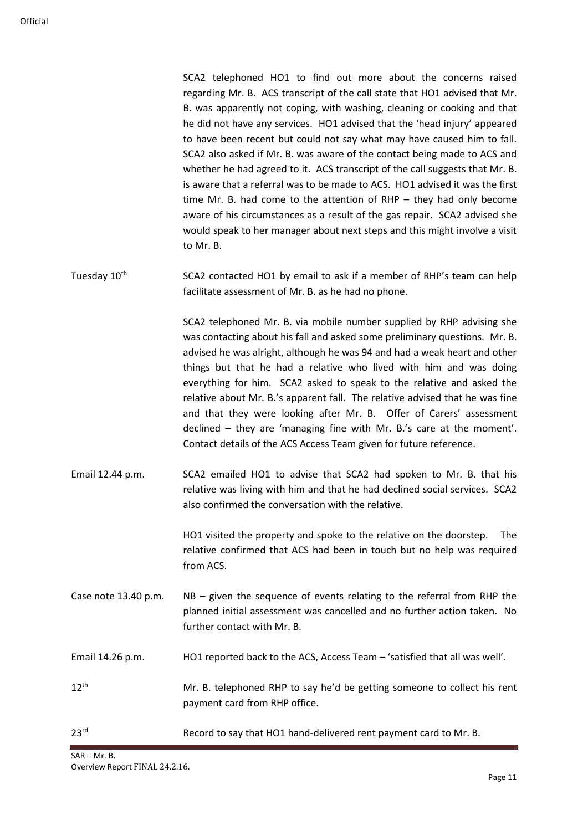| SCA2 telephoned HO1 to find out more about the concerns raised               |
|------------------------------------------------------------------------------|
| regarding Mr. B. ACS transcript of the call state that HO1 advised that Mr.  |
| B. was apparently not coping, with washing, cleaning or cooking and that     |
| he did not have any services. HO1 advised that the 'head injury' appeared    |
| to have been recent but could not say what may have caused him to fall.      |
| SCA2 also asked if Mr. B. was aware of the contact being made to ACS and     |
| whether he had agreed to it. ACS transcript of the call suggests that Mr. B. |
| is aware that a referral was to be made to ACS. HO1 advised it was the first |
| time Mr. B. had come to the attention of $RHP -$ they had only become        |
| aware of his circumstances as a result of the gas repair. SCA2 advised she   |
| would speak to her manager about next steps and this might involve a visit   |
| to Mr. B.                                                                    |
|                                                                              |
|                                                                              |

Tuesday  $10<sup>th</sup>$  SCA2 contacted HO1 by email to ask if a member of RHP's team can help facilitate assessment of Mr. B. as he had no phone.

> SCA2 telephoned Mr. B. via mobile number supplied by RHP advising she was contacting about his fall and asked some preliminary questions. Mr. B. advised he was alright, although he was 94 and had a weak heart and other things but that he had a relative who lived with him and was doing everything for him. SCA2 asked to speak to the relative and asked the relative about Mr. B.'s apparent fall. The relative advised that he was fine and that they were looking after Mr. B. Offer of Carers' assessment declined – they are 'managing fine with Mr. B.'s care at the moment'. Contact details of the ACS Access Team given for future reference.

Email 12.44 p.m. SCA2 emailed HO1 to advise that SCA2 had spoken to Mr. B. that his relative was living with him and that he had declined social services. SCA2 also confirmed the conversation with the relative.

> HO1 visited the property and spoke to the relative on the doorstep. The relative confirmed that ACS had been in touch but no help was required from ACS.

- Case note 13.40 p.m. NB given the sequence of events relating to the referral from RHP the planned initial assessment was cancelled and no further action taken. No further contact with Mr. B.
- Email 14.26 p.m. HO1 reported back to the ACS, Access Team 'satisfied that all was well'.
- 12<sup>th</sup> Mr. B. telephoned RHP to say he'd be getting someone to collect his rent payment card from RHP office.
- 23<sup>rd</sup> Record to say that HO1 hand-delivered rent payment card to Mr. B.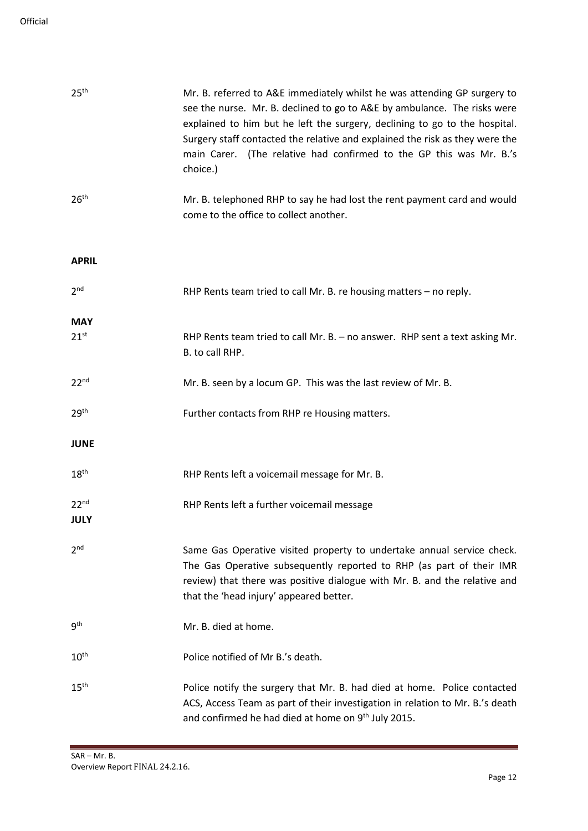| 25 <sup>th</sup>         | Mr. B. referred to A&E immediately whilst he was attending GP surgery to<br>see the nurse. Mr. B. declined to go to A&E by ambulance. The risks were<br>explained to him but he left the surgery, declining to go to the hospital.<br>Surgery staff contacted the relative and explained the risk as they were the<br>main Carer. (The relative had confirmed to the GP this was Mr. B.'s<br>choice.) |
|--------------------------|-------------------------------------------------------------------------------------------------------------------------------------------------------------------------------------------------------------------------------------------------------------------------------------------------------------------------------------------------------------------------------------------------------|
| 26 <sup>th</sup>         | Mr. B. telephoned RHP to say he had lost the rent payment card and would<br>come to the office to collect another.                                                                                                                                                                                                                                                                                    |
| <b>APRIL</b>             |                                                                                                                                                                                                                                                                                                                                                                                                       |
| 2 <sup>nd</sup>          | RHP Rents team tried to call Mr. B. re housing matters - no reply.                                                                                                                                                                                                                                                                                                                                    |
| <b>MAY</b>               |                                                                                                                                                                                                                                                                                                                                                                                                       |
| $21^{st}$                | RHP Rents team tried to call Mr. B. - no answer. RHP sent a text asking Mr.<br>B. to call RHP.                                                                                                                                                                                                                                                                                                        |
| 22 <sup>nd</sup>         | Mr. B. seen by a locum GP. This was the last review of Mr. B.                                                                                                                                                                                                                                                                                                                                         |
| 29 <sup>th</sup>         | Further contacts from RHP re Housing matters.                                                                                                                                                                                                                                                                                                                                                         |
| <b>JUNE</b>              |                                                                                                                                                                                                                                                                                                                                                                                                       |
| 18 <sup>th</sup>         | RHP Rents left a voicemail message for Mr. B.                                                                                                                                                                                                                                                                                                                                                         |
| 22 <sup>nd</sup><br>JULY | RHP Rents left a further voicemail message                                                                                                                                                                                                                                                                                                                                                            |
| 2 <sub>nd</sub>          | Same Gas Operative visited property to undertake annual service check.<br>The Gas Operative subsequently reported to RHP (as part of their IMR<br>review) that there was positive dialogue with Mr. B. and the relative and<br>that the 'head injury' appeared better.                                                                                                                                |
| q <sup>th</sup>          | Mr. B. died at home.                                                                                                                                                                                                                                                                                                                                                                                  |
| $10^{\text{th}}$         | Police notified of Mr B.'s death.                                                                                                                                                                                                                                                                                                                                                                     |
| $15^{\text{th}}$         | Police notify the surgery that Mr. B. had died at home. Police contacted<br>ACS, Access Team as part of their investigation in relation to Mr. B.'s death<br>and confirmed he had died at home on 9 <sup>th</sup> July 2015.                                                                                                                                                                          |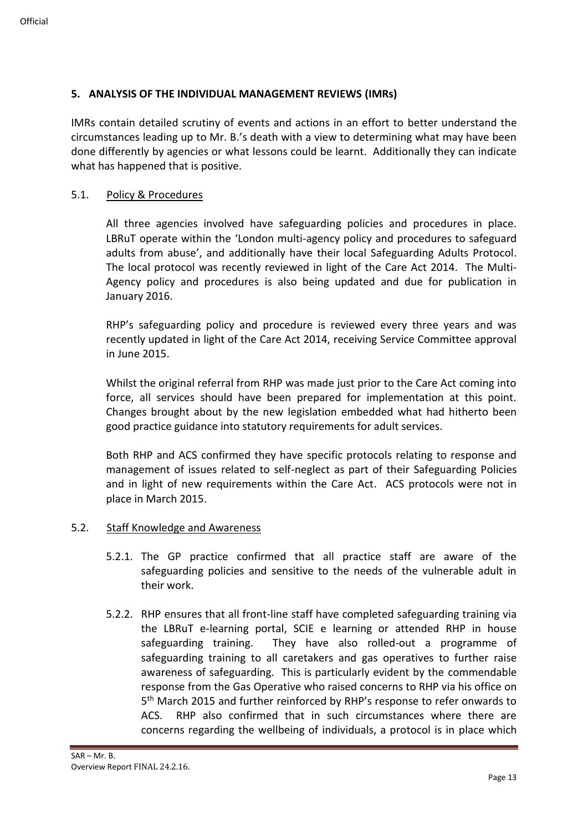### **5. ANALYSIS OF THE INDIVIDUAL MANAGEMENT REVIEWS (IMRs)**

IMRs contain detailed scrutiny of events and actions in an effort to better understand the circumstances leading up to Mr. B.'s death with a view to determining what may have been done differently by agencies or what lessons could be learnt. Additionally they can indicate what has happened that is positive.

#### 5.1. Policy & Procedures

All three agencies involved have safeguarding policies and procedures in place. LBRuT operate within the 'London multi-agency policy and procedures to safeguard adults from abuse', and additionally have their local Safeguarding Adults Protocol. The local protocol was recently reviewed in light of the Care Act 2014. The Multi-Agency policy and procedures is also being updated and due for publication in January 2016.

RHP's safeguarding policy and procedure is reviewed every three years and was recently updated in light of the Care Act 2014, receiving Service Committee approval in June 2015.

Whilst the original referral from RHP was made just prior to the Care Act coming into force, all services should have been prepared for implementation at this point. Changes brought about by the new legislation embedded what had hitherto been good practice guidance into statutory requirements for adult services.

Both RHP and ACS confirmed they have specific protocols relating to response and management of issues related to self-neglect as part of their Safeguarding Policies and in light of new requirements within the Care Act. ACS protocols were not in place in March 2015.

#### 5.2. Staff Knowledge and Awareness

- 5.2.1. The GP practice confirmed that all practice staff are aware of the safeguarding policies and sensitive to the needs of the vulnerable adult in their work.
- 5.2.2. RHP ensures that all front-line staff have completed safeguarding training via the LBRuT e-learning portal, SCIE e learning or attended RHP in house safeguarding training. They have also rolled-out a programme of safeguarding training to all caretakers and gas operatives to further raise awareness of safeguarding. This is particularly evident by the commendable response from the Gas Operative who raised concerns to RHP via his office on 5<sup>th</sup> March 2015 and further reinforced by RHP's response to refer onwards to ACS. RHP also confirmed that in such circumstances where there are concerns regarding the wellbeing of individuals, a protocol is in place which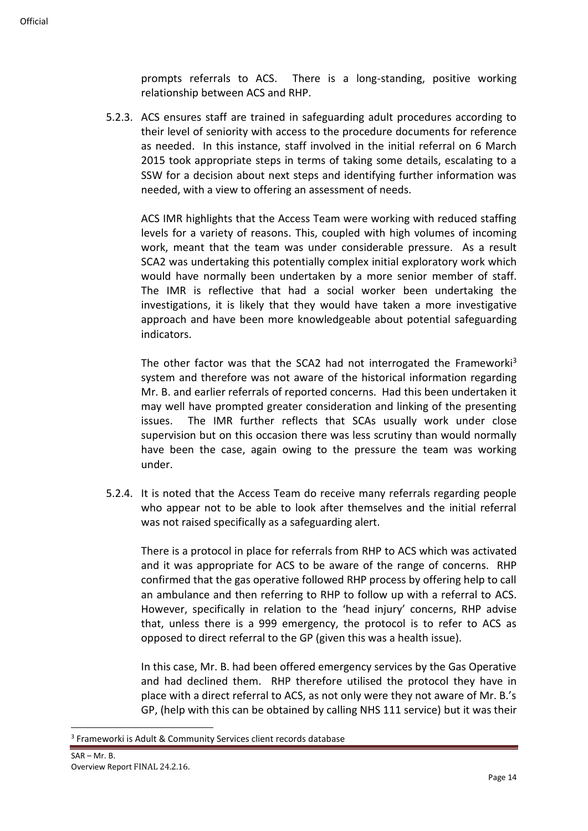prompts referrals to ACS. There is a long-standing, positive working relationship between ACS and RHP.

5.2.3. ACS ensures staff are trained in safeguarding adult procedures according to their level of seniority with access to the procedure documents for reference as needed. In this instance, staff involved in the initial referral on 6 March 2015 took appropriate steps in terms of taking some details, escalating to a SSW for a decision about next steps and identifying further information was needed, with a view to offering an assessment of needs.

ACS IMR highlights that the Access Team were working with reduced staffing levels for a variety of reasons. This, coupled with high volumes of incoming work, meant that the team was under considerable pressure. As a result SCA2 was undertaking this potentially complex initial exploratory work which would have normally been undertaken by a more senior member of staff. The IMR is reflective that had a social worker been undertaking the investigations, it is likely that they would have taken a more investigative approach and have been more knowledgeable about potential safeguarding indicators.

The other factor was that the SCA2 had not interrogated the Frameworki<sup>3</sup> system and therefore was not aware of the historical information regarding Mr. B. and earlier referrals of reported concerns. Had this been undertaken it may well have prompted greater consideration and linking of the presenting issues. The IMR further reflects that SCAs usually work under close supervision but on this occasion there was less scrutiny than would normally have been the case, again owing to the pressure the team was working under.

5.2.4. It is noted that the Access Team do receive many referrals regarding people who appear not to be able to look after themselves and the initial referral was not raised specifically as a safeguarding alert.

There is a protocol in place for referrals from RHP to ACS which was activated and it was appropriate for ACS to be aware of the range of concerns. RHP confirmed that the gas operative followed RHP process by offering help to call an ambulance and then referring to RHP to follow up with a referral to ACS. However, specifically in relation to the 'head injury' concerns, RHP advise that, unless there is a 999 emergency, the protocol is to refer to ACS as opposed to direct referral to the GP (given this was a health issue).

In this case, Mr. B. had been offered emergency services by the Gas Operative and had declined them. RHP therefore utilised the protocol they have in place with a direct referral to ACS, as not only were they not aware of Mr. B.'s GP, (help with this can be obtained by calling NHS 111 service) but it was their

<sup>&</sup>lt;sup>3</sup> Frameworki is Adult & Community Services client records database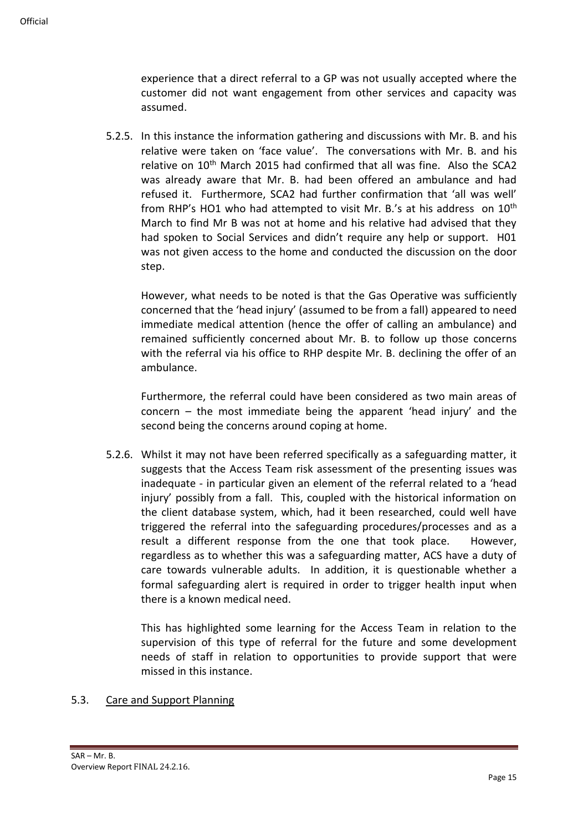experience that a direct referral to a GP was not usually accepted where the customer did not want engagement from other services and capacity was assumed.

5.2.5. In this instance the information gathering and discussions with Mr. B. and his relative were taken on 'face value'. The conversations with Mr. B. and his relative on 10th March 2015 had confirmed that all was fine. Also the SCA2 was already aware that Mr. B. had been offered an ambulance and had refused it. Furthermore, SCA2 had further confirmation that 'all was well' from RHP's HO1 who had attempted to visit Mr. B.'s at his address on 10<sup>th</sup> March to find Mr B was not at home and his relative had advised that they had spoken to Social Services and didn't require any help or support. H01 was not given access to the home and conducted the discussion on the door step.

However, what needs to be noted is that the Gas Operative was sufficiently concerned that the 'head injury' (assumed to be from a fall) appeared to need immediate medical attention (hence the offer of calling an ambulance) and remained sufficiently concerned about Mr. B. to follow up those concerns with the referral via his office to RHP despite Mr. B. declining the offer of an ambulance.

Furthermore, the referral could have been considered as two main areas of concern – the most immediate being the apparent 'head injury' and the second being the concerns around coping at home.

5.2.6. Whilst it may not have been referred specifically as a safeguarding matter, it suggests that the Access Team risk assessment of the presenting issues was inadequate - in particular given an element of the referral related to a 'head injury' possibly from a fall. This, coupled with the historical information on the client database system, which, had it been researched, could well have triggered the referral into the safeguarding procedures/processes and as a result a different response from the one that took place. However, regardless as to whether this was a safeguarding matter, ACS have a duty of care towards vulnerable adults. In addition, it is questionable whether a formal safeguarding alert is required in order to trigger health input when there is a known medical need.

This has highlighted some learning for the Access Team in relation to the supervision of this type of referral for the future and some development needs of staff in relation to opportunities to provide support that were missed in this instance.

### 5.3. Care and Support Planning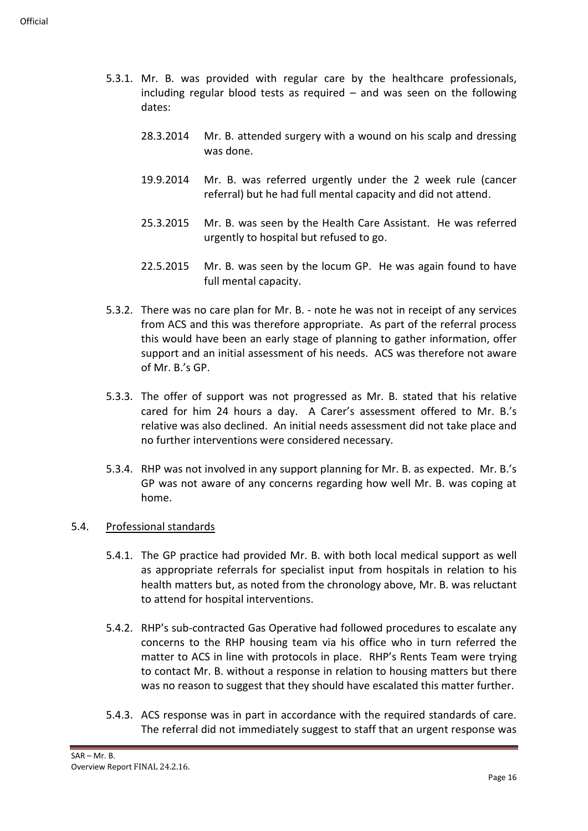- 5.3.1. Mr. B. was provided with regular care by the healthcare professionals, including regular blood tests as required – and was seen on the following dates:
	- 28.3.2014 Mr. B. attended surgery with a wound on his scalp and dressing was done.
	- 19.9.2014 Mr. B. was referred urgently under the 2 week rule (cancer referral) but he had full mental capacity and did not attend.
	- 25.3.2015 Mr. B. was seen by the Health Care Assistant. He was referred urgently to hospital but refused to go.
	- 22.5.2015 Mr. B. was seen by the locum GP. He was again found to have full mental capacity.
- 5.3.2. There was no care plan for Mr. B. note he was not in receipt of any services from ACS and this was therefore appropriate. As part of the referral process this would have been an early stage of planning to gather information, offer support and an initial assessment of his needs. ACS was therefore not aware of Mr. B.'s GP.
- 5.3.3. The offer of support was not progressed as Mr. B. stated that his relative cared for him 24 hours a day. A Carer's assessment offered to Mr. B.'s relative was also declined. An initial needs assessment did not take place and no further interventions were considered necessary.
- 5.3.4. RHP was not involved in any support planning for Mr. B. as expected. Mr. B.'s GP was not aware of any concerns regarding how well Mr. B. was coping at home.

### 5.4. Professional standards

- 5.4.1. The GP practice had provided Mr. B. with both local medical support as well as appropriate referrals for specialist input from hospitals in relation to his health matters but, as noted from the chronology above, Mr. B. was reluctant to attend for hospital interventions.
- 5.4.2. RHP's sub-contracted Gas Operative had followed procedures to escalate any concerns to the RHP housing team via his office who in turn referred the matter to ACS in line with protocols in place. RHP's Rents Team were trying to contact Mr. B. without a response in relation to housing matters but there was no reason to suggest that they should have escalated this matter further.
- 5.4.3. ACS response was in part in accordance with the required standards of care. The referral did not immediately suggest to staff that an urgent response was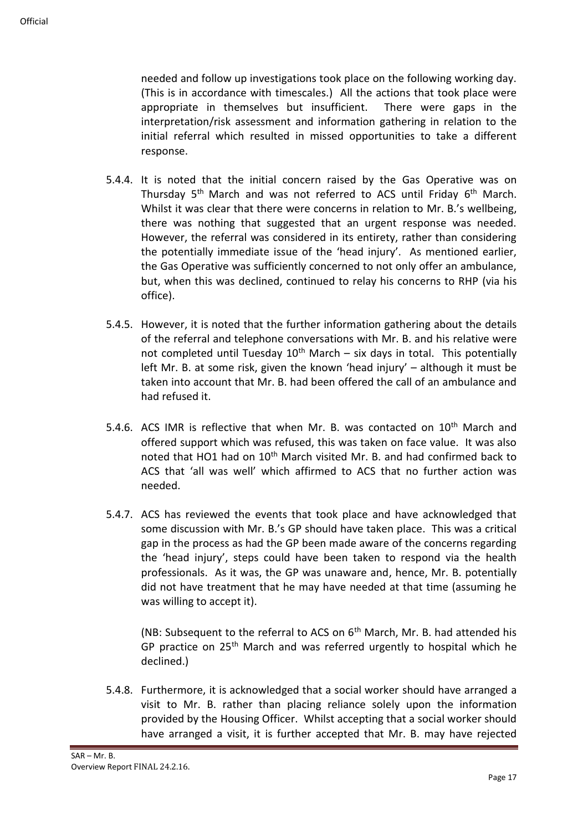needed and follow up investigations took place on the following working day. (This is in accordance with timescales.) All the actions that took place were appropriate in themselves but insufficient. There were gaps in the interpretation/risk assessment and information gathering in relation to the initial referral which resulted in missed opportunities to take a different response.

- 5.4.4. It is noted that the initial concern raised by the Gas Operative was on Thursday 5<sup>th</sup> March and was not referred to ACS until Friday 6<sup>th</sup> March. Whilst it was clear that there were concerns in relation to Mr. B.'s wellbeing, there was nothing that suggested that an urgent response was needed. However, the referral was considered in its entirety, rather than considering the potentially immediate issue of the 'head injury'. As mentioned earlier, the Gas Operative was sufficiently concerned to not only offer an ambulance, but, when this was declined, continued to relay his concerns to RHP (via his office).
- 5.4.5. However, it is noted that the further information gathering about the details of the referral and telephone conversations with Mr. B. and his relative were not completed until Tuesday  $10^{th}$  March – six days in total. This potentially left Mr. B. at some risk, given the known 'head injury' – although it must be taken into account that Mr. B. had been offered the call of an ambulance and had refused it.
- 5.4.6. ACS IMR is reflective that when Mr. B. was contacted on 10<sup>th</sup> March and offered support which was refused, this was taken on face value. It was also noted that HO1 had on 10<sup>th</sup> March visited Mr. B. and had confirmed back to ACS that 'all was well' which affirmed to ACS that no further action was needed.
- 5.4.7. ACS has reviewed the events that took place and have acknowledged that some discussion with Mr. B.'s GP should have taken place. This was a critical gap in the process as had the GP been made aware of the concerns regarding the 'head injury', steps could have been taken to respond via the health professionals. As it was, the GP was unaware and, hence, Mr. B. potentially did not have treatment that he may have needed at that time (assuming he was willing to accept it).

(NB: Subsequent to the referral to ACS on  $6<sup>th</sup>$  March, Mr. B. had attended his GP practice on 25<sup>th</sup> March and was referred urgently to hospital which he declined.)

5.4.8. Furthermore, it is acknowledged that a social worker should have arranged a visit to Mr. B. rather than placing reliance solely upon the information provided by the Housing Officer. Whilst accepting that a social worker should have arranged a visit, it is further accepted that Mr. B. may have rejected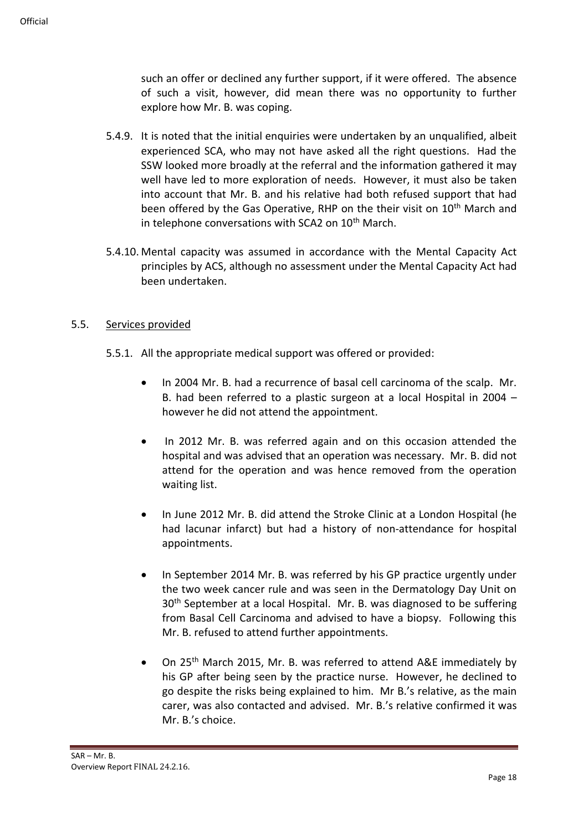such an offer or declined any further support, if it were offered. The absence of such a visit, however, did mean there was no opportunity to further explore how Mr. B. was coping.

- 5.4.9. It is noted that the initial enquiries were undertaken by an unqualified, albeit experienced SCA, who may not have asked all the right questions. Had the SSW looked more broadly at the referral and the information gathered it may well have led to more exploration of needs. However, it must also be taken into account that Mr. B. and his relative had both refused support that had been offered by the Gas Operative, RHP on the their visit on 10<sup>th</sup> March and in telephone conversations with SCA2 on 10<sup>th</sup> March.
- 5.4.10. Mental capacity was assumed in accordance with the Mental Capacity Act principles by ACS, although no assessment under the Mental Capacity Act had been undertaken.

### 5.5. Services provided

- 5.5.1. All the appropriate medical support was offered or provided:
	- In 2004 Mr. B. had a recurrence of basal cell carcinoma of the scalp. Mr. B. had been referred to a plastic surgeon at a local Hospital in 2004 – however he did not attend the appointment.
	- In 2012 Mr. B. was referred again and on this occasion attended the hospital and was advised that an operation was necessary. Mr. B. did not attend for the operation and was hence removed from the operation waiting list.
	- In June 2012 Mr. B. did attend the Stroke Clinic at a London Hospital (he had lacunar infarct) but had a history of non-attendance for hospital appointments.
	- In September 2014 Mr. B. was referred by his GP practice urgently under the two week cancer rule and was seen in the Dermatology Day Unit on 30<sup>th</sup> September at a local Hospital. Mr. B. was diagnosed to be suffering from Basal Cell Carcinoma and advised to have a biopsy. Following this Mr. B. refused to attend further appointments.
	- On 25<sup>th</sup> March 2015, Mr. B. was referred to attend A&E immediately by his GP after being seen by the practice nurse. However, he declined to go despite the risks being explained to him. Mr B.'s relative, as the main carer, was also contacted and advised. Mr. B.'s relative confirmed it was Mr. B.'s choice.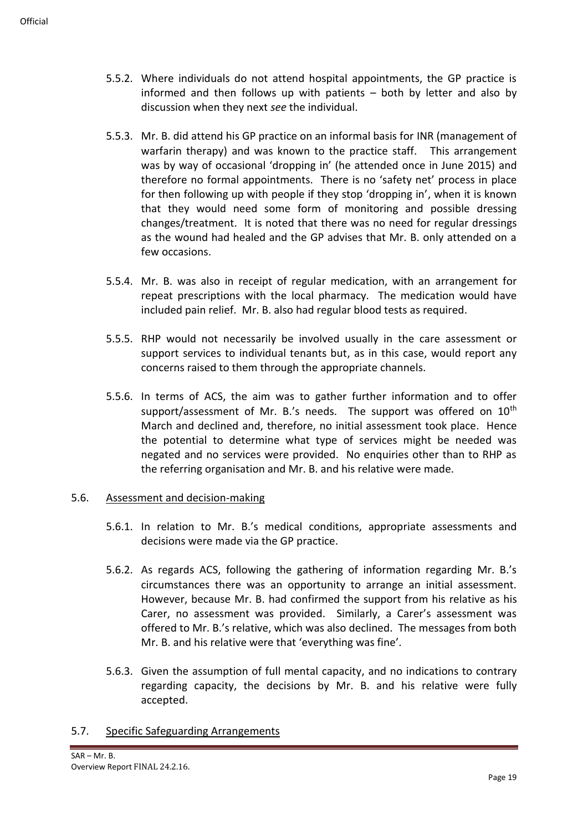- 5.5.2. Where individuals do not attend hospital appointments, the GP practice is informed and then follows up with patients – both by letter and also by discussion when they next *see* the individual.
- 5.5.3. Mr. B. did attend his GP practice on an informal basis for INR (management of warfarin therapy) and was known to the practice staff. This arrangement was by way of occasional 'dropping in' (he attended once in June 2015) and therefore no formal appointments. There is no 'safety net' process in place for then following up with people if they stop 'dropping in', when it is known that they would need some form of monitoring and possible dressing changes/treatment. It is noted that there was no need for regular dressings as the wound had healed and the GP advises that Mr. B. only attended on a few occasions.
- 5.5.4. Mr. B. was also in receipt of regular medication, with an arrangement for repeat prescriptions with the local pharmacy. The medication would have included pain relief. Mr. B. also had regular blood tests as required.
- 5.5.5. RHP would not necessarily be involved usually in the care assessment or support services to individual tenants but, as in this case, would report any concerns raised to them through the appropriate channels.
- 5.5.6. In terms of ACS, the aim was to gather further information and to offer support/assessment of Mr. B.'s needs. The support was offered on  $10<sup>th</sup>$ March and declined and, therefore, no initial assessment took place. Hence the potential to determine what type of services might be needed was negated and no services were provided. No enquiries other than to RHP as the referring organisation and Mr. B. and his relative were made.

### 5.6. Assessment and decision-making

- 5.6.1. In relation to Mr. B.'s medical conditions, appropriate assessments and decisions were made via the GP practice.
- 5.6.2. As regards ACS, following the gathering of information regarding Mr. B.'s circumstances there was an opportunity to arrange an initial assessment. However, because Mr. B. had confirmed the support from his relative as his Carer, no assessment was provided. Similarly, a Carer's assessment was offered to Mr. B.'s relative, which was also declined. The messages from both Mr. B. and his relative were that 'everything was fine'.
- 5.6.3. Given the assumption of full mental capacity, and no indications to contrary regarding capacity, the decisions by Mr. B. and his relative were fully accepted.

#### 5.7. Specific Safeguarding Arrangements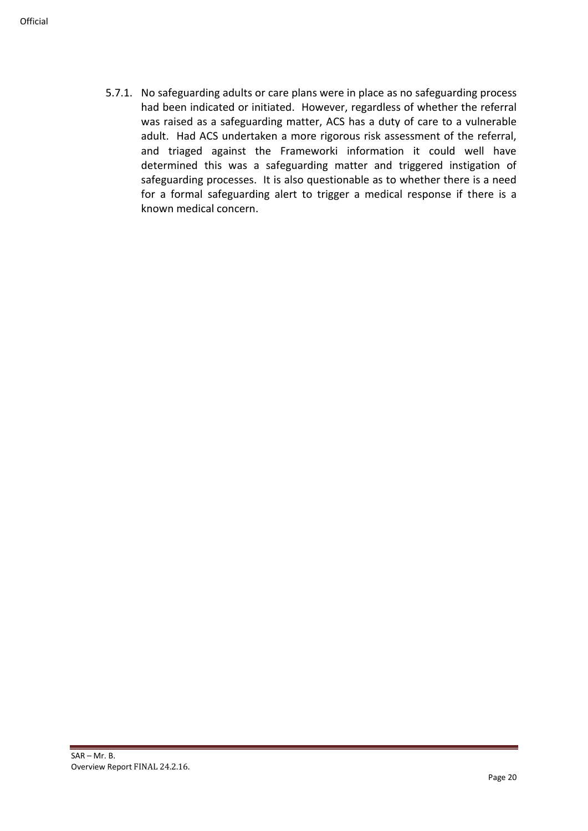5.7.1. No safeguarding adults or care plans were in place as no safeguarding process had been indicated or initiated. However, regardless of whether the referral was raised as a safeguarding matter, ACS has a duty of care to a vulnerable adult. Had ACS undertaken a more rigorous risk assessment of the referral, and triaged against the Frameworki information it could well have determined this was a safeguarding matter and triggered instigation of safeguarding processes. It is also questionable as to whether there is a need for a formal safeguarding alert to trigger a medical response if there is a known medical concern.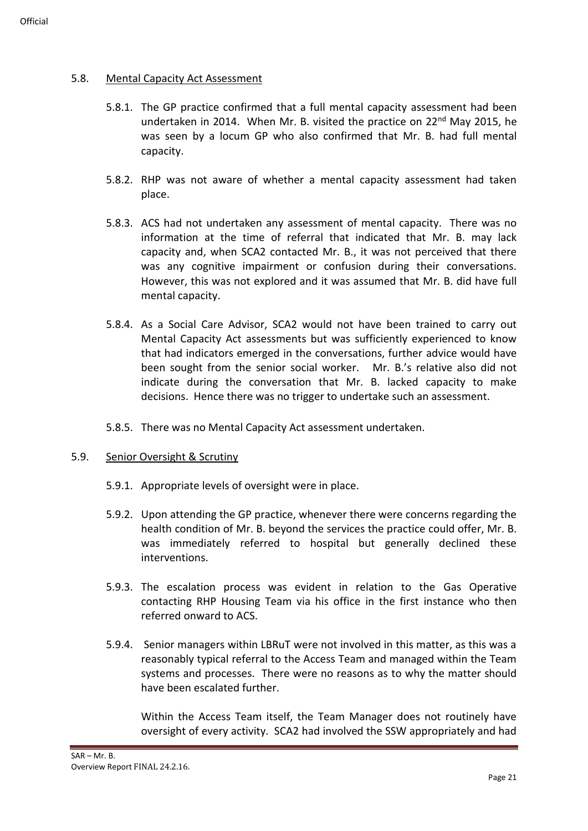### 5.8. Mental Capacity Act Assessment

- 5.8.1. The GP practice confirmed that a full mental capacity assessment had been undertaken in 2014. When Mr. B. visited the practice on  $22<sup>nd</sup>$  May 2015, he was seen by a locum GP who also confirmed that Mr. B. had full mental capacity.
- 5.8.2. RHP was not aware of whether a mental capacity assessment had taken place.
- 5.8.3. ACS had not undertaken any assessment of mental capacity. There was no information at the time of referral that indicated that Mr. B. may lack capacity and, when SCA2 contacted Mr. B., it was not perceived that there was any cognitive impairment or confusion during their conversations. However, this was not explored and it was assumed that Mr. B. did have full mental capacity.
- 5.8.4. As a Social Care Advisor, SCA2 would not have been trained to carry out Mental Capacity Act assessments but was sufficiently experienced to know that had indicators emerged in the conversations, further advice would have been sought from the senior social worker. Mr. B.'s relative also did not indicate during the conversation that Mr. B. lacked capacity to make decisions. Hence there was no trigger to undertake such an assessment.
- 5.8.5. There was no Mental Capacity Act assessment undertaken.
- 5.9. Senior Oversight & Scrutiny
	- 5.9.1. Appropriate levels of oversight were in place.
	- 5.9.2. Upon attending the GP practice, whenever there were concerns regarding the health condition of Mr. B. beyond the services the practice could offer, Mr. B. was immediately referred to hospital but generally declined these interventions.
	- 5.9.3. The escalation process was evident in relation to the Gas Operative contacting RHP Housing Team via his office in the first instance who then referred onward to ACS.
	- 5.9.4. Senior managers within LBRuT were not involved in this matter, as this was a reasonably typical referral to the Access Team and managed within the Team systems and processes. There were no reasons as to why the matter should have been escalated further.

Within the Access Team itself, the Team Manager does not routinely have oversight of every activity. SCA2 had involved the SSW appropriately and had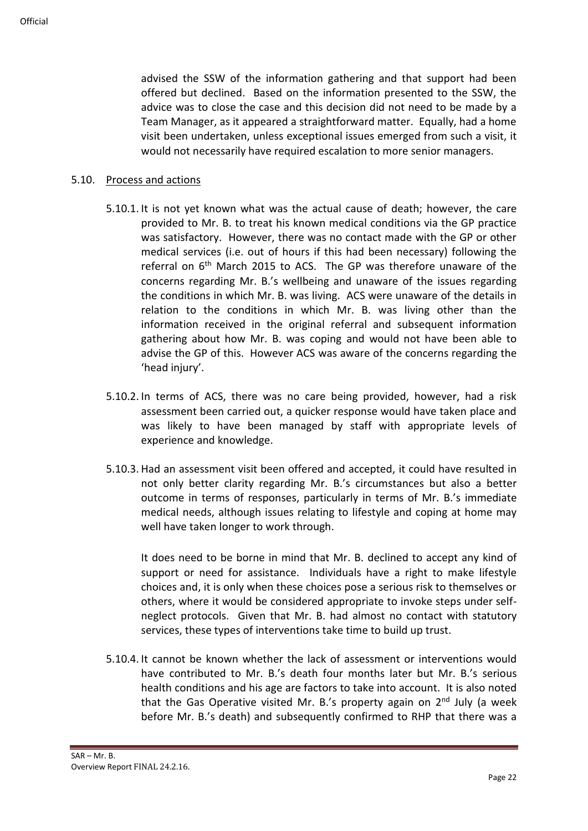advised the SSW of the information gathering and that support had been offered but declined. Based on the information presented to the SSW, the advice was to close the case and this decision did not need to be made by a Team Manager, as it appeared a straightforward matter. Equally, had a home visit been undertaken, unless exceptional issues emerged from such a visit, it would not necessarily have required escalation to more senior managers.

#### 5.10. Process and actions

- 5.10.1. It is not yet known what was the actual cause of death; however, the care provided to Mr. B. to treat his known medical conditions via the GP practice was satisfactory. However, there was no contact made with the GP or other medical services (i.e. out of hours if this had been necessary) following the referral on 6th March 2015 to ACS. The GP was therefore unaware of the concerns regarding Mr. B.'s wellbeing and unaware of the issues regarding the conditions in which Mr. B. was living. ACS were unaware of the details in relation to the conditions in which Mr. B. was living other than the information received in the original referral and subsequent information gathering about how Mr. B. was coping and would not have been able to advise the GP of this. However ACS was aware of the concerns regarding the 'head injury'.
- 5.10.2. In terms of ACS, there was no care being provided, however, had a risk assessment been carried out, a quicker response would have taken place and was likely to have been managed by staff with appropriate levels of experience and knowledge.
- 5.10.3. Had an assessment visit been offered and accepted, it could have resulted in not only better clarity regarding Mr. B.'s circumstances but also a better outcome in terms of responses, particularly in terms of Mr. B.'s immediate medical needs, although issues relating to lifestyle and coping at home may well have taken longer to work through.

It does need to be borne in mind that Mr. B. declined to accept any kind of support or need for assistance. Individuals have a right to make lifestyle choices and, it is only when these choices pose a serious risk to themselves or others, where it would be considered appropriate to invoke steps under selfneglect protocols. Given that Mr. B. had almost no contact with statutory services, these types of interventions take time to build up trust.

5.10.4. It cannot be known whether the lack of assessment or interventions would have contributed to Mr. B.'s death four months later but Mr. B.'s serious health conditions and his age are factors to take into account. It is also noted that the Gas Operative visited Mr. B.'s property again on  $2^{nd}$  July (a week before Mr. B.'s death) and subsequently confirmed to RHP that there was a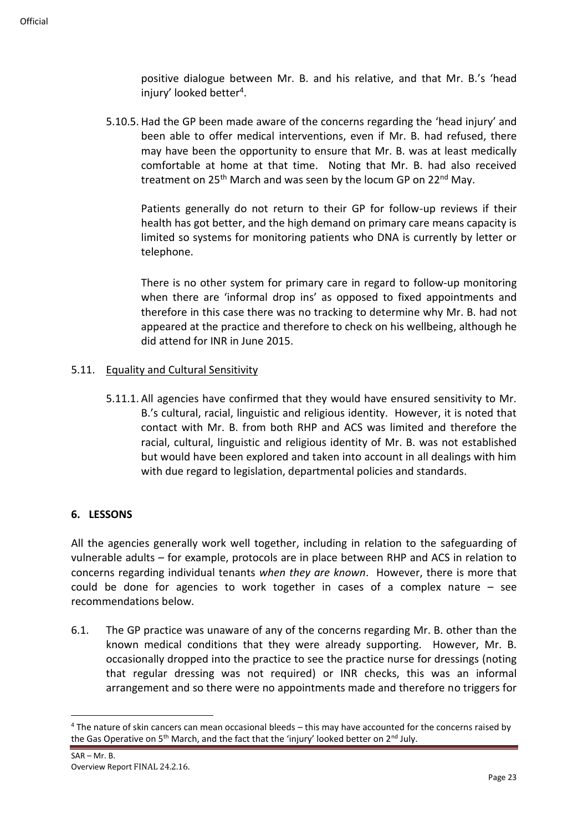positive dialogue between Mr. B. and his relative, and that Mr. B.'s 'head injury' looked better<sup>4</sup>.

5.10.5. Had the GP been made aware of the concerns regarding the 'head injury' and been able to offer medical interventions, even if Mr. B. had refused, there may have been the opportunity to ensure that Mr. B. was at least medically comfortable at home at that time. Noting that Mr. B. had also received treatment on 25<sup>th</sup> March and was seen by the locum GP on 22<sup>nd</sup> May.

Patients generally do not return to their GP for follow-up reviews if their health has got better, and the high demand on primary care means capacity is limited so systems for monitoring patients who DNA is currently by letter or telephone.

There is no other system for primary care in regard to follow-up monitoring when there are 'informal drop ins' as opposed to fixed appointments and therefore in this case there was no tracking to determine why Mr. B. had not appeared at the practice and therefore to check on his wellbeing, although he did attend for INR in June 2015.

### 5.11. Equality and Cultural Sensitivity

5.11.1. All agencies have confirmed that they would have ensured sensitivity to Mr. B.'s cultural, racial, linguistic and religious identity. However, it is noted that contact with Mr. B. from both RHP and ACS was limited and therefore the racial, cultural, linguistic and religious identity of Mr. B. was not established but would have been explored and taken into account in all dealings with him with due regard to legislation, departmental policies and standards.

### **6. LESSONS**

All the agencies generally work well together, including in relation to the safeguarding of vulnerable adults – for example, protocols are in place between RHP and ACS in relation to concerns regarding individual tenants *when they are known*. However, there is more that could be done for agencies to work together in cases of a complex nature – see recommendations below.

6.1. The GP practice was unaware of any of the concerns regarding Mr. B. other than the known medical conditions that they were already supporting. However, Mr. B. occasionally dropped into the practice to see the practice nurse for dressings (noting that regular dressing was not required) or INR checks, this was an informal arrangement and so there were no appointments made and therefore no triggers for

<sup>4</sup> The nature of skin cancers can mean occasional bleeds – this may have accounted for the concerns raised by the Gas Operative on 5<sup>th</sup> March, and the fact that the 'injury' looked better on 2<sup>nd</sup> July.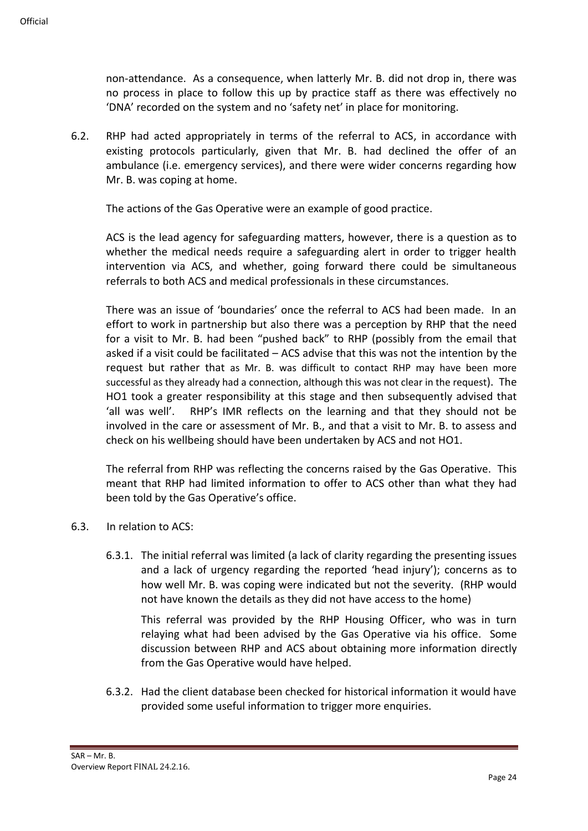non-attendance. As a consequence, when latterly Mr. B. did not drop in, there was no process in place to follow this up by practice staff as there was effectively no 'DNA' recorded on the system and no 'safety net' in place for monitoring.

6.2. RHP had acted appropriately in terms of the referral to ACS, in accordance with existing protocols particularly, given that Mr. B. had declined the offer of an ambulance (i.e. emergency services), and there were wider concerns regarding how Mr. B. was coping at home.

The actions of the Gas Operative were an example of good practice.

ACS is the lead agency for safeguarding matters, however, there is a question as to whether the medical needs require a safeguarding alert in order to trigger health intervention via ACS, and whether, going forward there could be simultaneous referrals to both ACS and medical professionals in these circumstances.

There was an issue of 'boundaries' once the referral to ACS had been made. In an effort to work in partnership but also there was a perception by RHP that the need for a visit to Mr. B. had been "pushed back" to RHP (possibly from the email that asked if a visit could be facilitated – ACS advise that this was not the intention by the request but rather that as Mr. B. was difficult to contact RHP may have been more successful as they already had a connection, although this was not clear in the request). The HO1 took a greater responsibility at this stage and then subsequently advised that 'all was well'. RHP's IMR reflects on the learning and that they should not be involved in the care or assessment of Mr. B., and that a visit to Mr. B. to assess and check on his wellbeing should have been undertaken by ACS and not HO1.

The referral from RHP was reflecting the concerns raised by the Gas Operative. This meant that RHP had limited information to offer to ACS other than what they had been told by the Gas Operative's office.

- 6.3. In relation to ACS:
	- 6.3.1. The initial referral was limited (a lack of clarity regarding the presenting issues and a lack of urgency regarding the reported 'head injury'); concerns as to how well Mr. B. was coping were indicated but not the severity. (RHP would not have known the details as they did not have access to the home)

This referral was provided by the RHP Housing Officer, who was in turn relaying what had been advised by the Gas Operative via his office. Some discussion between RHP and ACS about obtaining more information directly from the Gas Operative would have helped.

6.3.2. Had the client database been checked for historical information it would have provided some useful information to trigger more enquiries.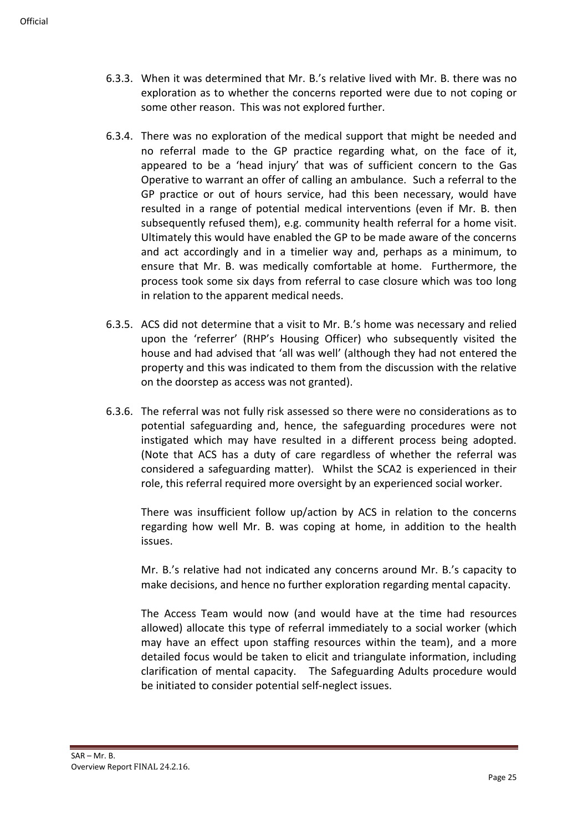- 6.3.3. When it was determined that Mr. B.'s relative lived with Mr. B. there was no exploration as to whether the concerns reported were due to not coping or some other reason. This was not explored further.
- 6.3.4. There was no exploration of the medical support that might be needed and no referral made to the GP practice regarding what, on the face of it, appeared to be a 'head injury' that was of sufficient concern to the Gas Operative to warrant an offer of calling an ambulance. Such a referral to the GP practice or out of hours service, had this been necessary, would have resulted in a range of potential medical interventions (even if Mr. B. then subsequently refused them), e.g. community health referral for a home visit. Ultimately this would have enabled the GP to be made aware of the concerns and act accordingly and in a timelier way and, perhaps as a minimum, to ensure that Mr. B. was medically comfortable at home. Furthermore, the process took some six days from referral to case closure which was too long in relation to the apparent medical needs.
- 6.3.5. ACS did not determine that a visit to Mr. B.'s home was necessary and relied upon the 'referrer' (RHP's Housing Officer) who subsequently visited the house and had advised that 'all was well' (although they had not entered the property and this was indicated to them from the discussion with the relative on the doorstep as access was not granted).
- 6.3.6. The referral was not fully risk assessed so there were no considerations as to potential safeguarding and, hence, the safeguarding procedures were not instigated which may have resulted in a different process being adopted. (Note that ACS has a duty of care regardless of whether the referral was considered a safeguarding matter). Whilst the SCA2 is experienced in their role, this referral required more oversight by an experienced social worker.

There was insufficient follow up/action by ACS in relation to the concerns regarding how well Mr. B. was coping at home, in addition to the health issues.

Mr. B.'s relative had not indicated any concerns around Mr. B.'s capacity to make decisions, and hence no further exploration regarding mental capacity.

The Access Team would now (and would have at the time had resources allowed) allocate this type of referral immediately to a social worker (which may have an effect upon staffing resources within the team), and a more detailed focus would be taken to elicit and triangulate information, including clarification of mental capacity. The Safeguarding Adults procedure would be initiated to consider potential self-neglect issues.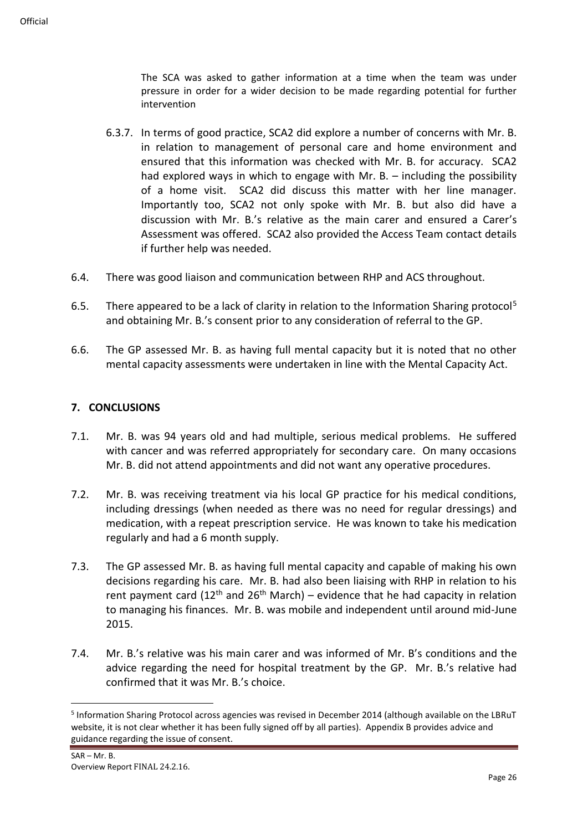The SCA was asked to gather information at a time when the team was under pressure in order for a wider decision to be made regarding potential for further intervention

- 6.3.7. In terms of good practice, SCA2 did explore a number of concerns with Mr. B. in relation to management of personal care and home environment and ensured that this information was checked with Mr. B. for accuracy. SCA2 had explored ways in which to engage with Mr. B. – including the possibility of a home visit. SCA2 did discuss this matter with her line manager. Importantly too, SCA2 not only spoke with Mr. B. but also did have a discussion with Mr. B.'s relative as the main carer and ensured a Carer's Assessment was offered. SCA2 also provided the Access Team contact details if further help was needed.
- 6.4. There was good liaison and communication between RHP and ACS throughout.
- 6.5. There appeared to be a lack of clarity in relation to the Information Sharing protocol<sup>5</sup> and obtaining Mr. B.'s consent prior to any consideration of referral to the GP.
- 6.6. The GP assessed Mr. B. as having full mental capacity but it is noted that no other mental capacity assessments were undertaken in line with the Mental Capacity Act.

### **7. CONCLUSIONS**

- 7.1. Mr. B. was 94 years old and had multiple, serious medical problems. He suffered with cancer and was referred appropriately for secondary care. On many occasions Mr. B. did not attend appointments and did not want any operative procedures.
- 7.2. Mr. B. was receiving treatment via his local GP practice for his medical conditions, including dressings (when needed as there was no need for regular dressings) and medication, with a repeat prescription service. He was known to take his medication regularly and had a 6 month supply.
- 7.3. The GP assessed Mr. B. as having full mental capacity and capable of making his own decisions regarding his care. Mr. B. had also been liaising with RHP in relation to his rent payment card ( $12<sup>th</sup>$  and  $26<sup>th</sup>$  March) – evidence that he had capacity in relation to managing his finances. Mr. B. was mobile and independent until around mid-June 2015.
- 7.4. Mr. B.'s relative was his main carer and was informed of Mr. B's conditions and the advice regarding the need for hospital treatment by the GP. Mr. B.'s relative had confirmed that it was Mr. B.'s choice.

<sup>&</sup>lt;sup>5</sup> Information Sharing Protocol across agencies was revised in December 2014 (although available on the LBRuT website, it is not clear whether it has been fully signed off by all parties). Appendix B provides advice and guidance regarding the issue of consent.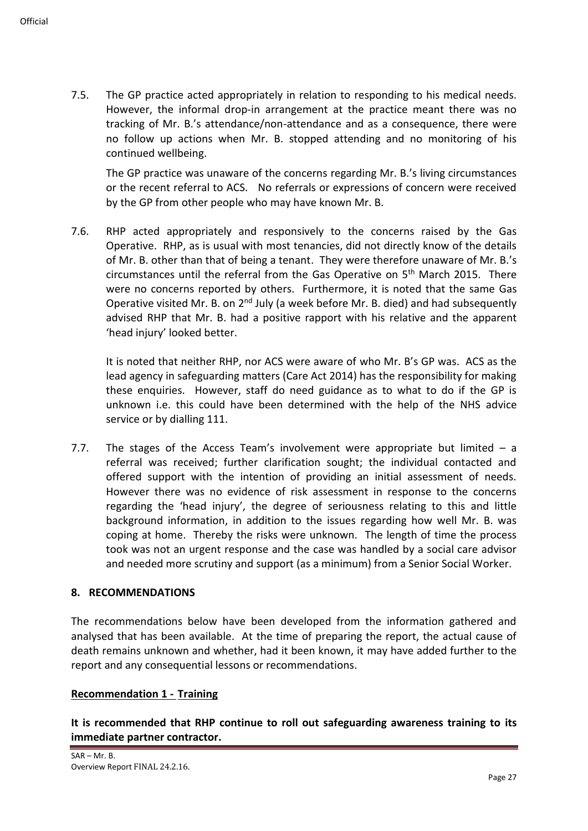7.5. The GP practice acted appropriately in relation to responding to his medical needs. However, the informal drop-in arrangement at the practice meant there was no tracking of Mr. B.'s attendance/non-attendance and as a consequence, there were no follow up actions when Mr. B. stopped attending and no monitoring of his continued wellbeing.

The GP practice was unaware of the concerns regarding Mr. B.'s living circumstances or the recent referral to ACS. No referrals or expressions of concern were received by the GP from other people who may have known Mr. B.

7.6. RHP acted appropriately and responsively to the concerns raised by the Gas Operative. RHP, as is usual with most tenancies, did not directly know of the details of Mr. B. other than that of being a tenant. They were therefore unaware of Mr. B.'s circumstances until the referral from the Gas Operative on  $5<sup>th</sup>$  March 2015. There were no concerns reported by others. Furthermore, it is noted that the same Gas Operative visited Mr. B. on  $2<sup>nd</sup>$  July (a week before Mr. B. died) and had subsequently advised RHP that Mr. B. had a positive rapport with his relative and the apparent 'head injury' looked better.

It is noted that neither RHP, nor ACS were aware of who Mr. B's GP was. ACS as the lead agency in safeguarding matters (Care Act 2014) has the responsibility for making these enquiries. However, staff do need guidance as to what to do if the GP is unknown i.e. this could have been determined with the help of the NHS advice service or by dialling 111.

7.7. The stages of the Access Team's involvement were appropriate but limited  $-$  a referral was received; further clarification sought; the individual contacted and offered support with the intention of providing an initial assessment of needs. However there was no evidence of risk assessment in response to the concerns regarding the 'head injury', the degree of seriousness relating to this and little background information, in addition to the issues regarding how well Mr. B. was coping at home. Thereby the risks were unknown. The length of time the process took was not an urgent response and the case was handled by a social care advisor and needed more scrutiny and support (as a minimum) from a Senior Social Worker.

#### **8. RECOMMENDATIONS**

The recommendations below have been developed from the information gathered and analysed that has been available. At the time of preparing the report, the actual cause of death remains unknown and whether, had it been known, it may have added further to the report and any consequential lessons or recommendations.

### **Recommendation 1 - Training**

**It is recommended that RHP continue to roll out safeguarding awareness training to its immediate partner contractor.**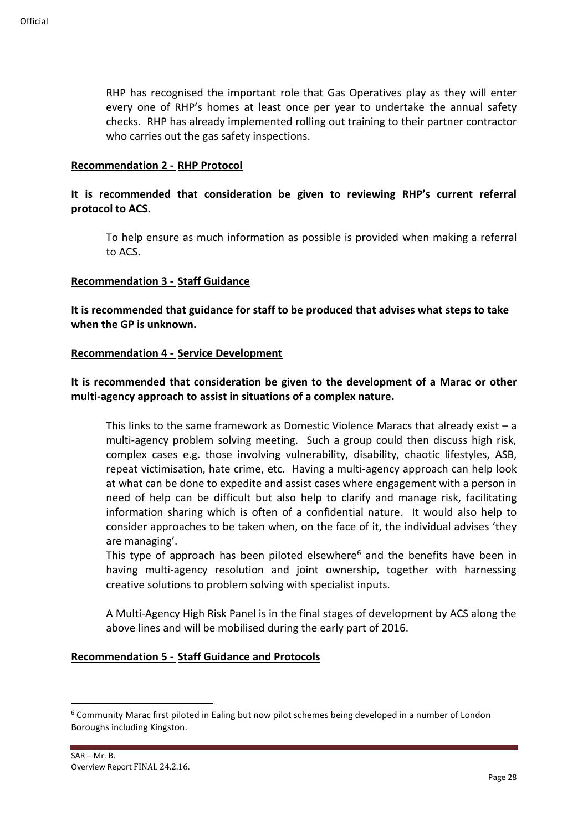RHP has recognised the important role that Gas Operatives play as they will enter every one of RHP's homes at least once per year to undertake the annual safety checks. RHP has already implemented rolling out training to their partner contractor who carries out the gas safety inspections.

#### **Recommendation 2 - RHP Protocol**

### **It is recommended that consideration be given to reviewing RHP's current referral protocol to ACS.**

To help ensure as much information as possible is provided when making a referral to ACS.

#### **Recommendation 3 - Staff Guidance**

**It is recommended that guidance for staff to be produced that advises what steps to take when the GP is unknown.**

#### **Recommendation 4 - Service Development**

### **It is recommended that consideration be given to the development of a Marac or other multi-agency approach to assist in situations of a complex nature.**

This links to the same framework as Domestic Violence Maracs that already exist  $-$  a multi-agency problem solving meeting. Such a group could then discuss high risk, complex cases e.g. those involving vulnerability, disability, chaotic lifestyles, ASB, repeat victimisation, hate crime, etc. Having a multi-agency approach can help look at what can be done to expedite and assist cases where engagement with a person in need of help can be difficult but also help to clarify and manage risk, facilitating information sharing which is often of a confidential nature. It would also help to consider approaches to be taken when, on the face of it, the individual advises 'they are managing'.

This type of approach has been piloted elsewhere<sup>6</sup> and the benefits have been in having multi-agency resolution and joint ownership, together with harnessing creative solutions to problem solving with specialist inputs.

A Multi-Agency High Risk Panel is in the final stages of development by ACS along the above lines and will be mobilised during the early part of 2016.

#### **Recommendation 5 - Staff Guidance and Protocols**

<sup>6</sup> Community Marac first piloted in Ealing but now pilot schemes being developed in a number of London Boroughs including Kingston.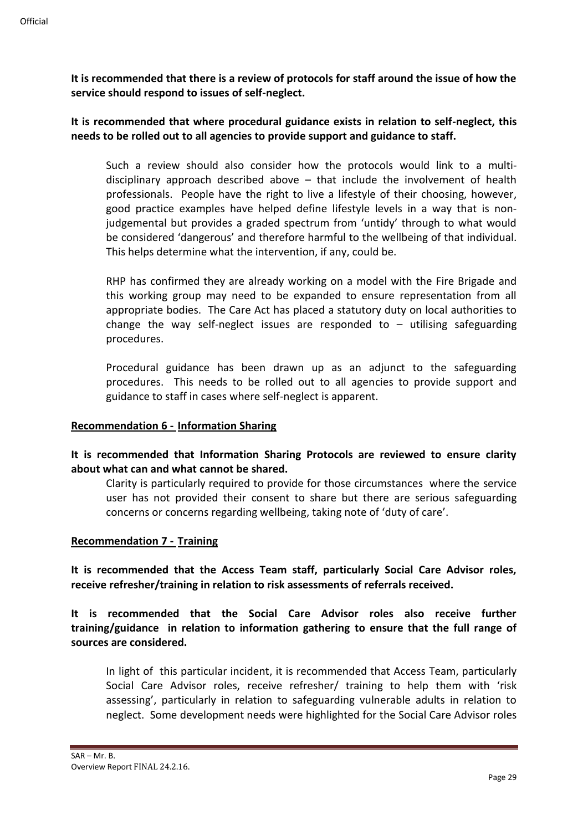**It is recommended that there is a review of protocols for staff around the issue of how the service should respond to issues of self-neglect.**

**It is recommended that where procedural guidance exists in relation to self-neglect, this needs to be rolled out to all agencies to provide support and guidance to staff.**

Such a review should also consider how the protocols would link to a multidisciplinary approach described above – that include the involvement of health professionals. People have the right to live a lifestyle of their choosing, however, good practice examples have helped define lifestyle levels in a way that is nonjudgemental but provides a graded spectrum from 'untidy' through to what would be considered 'dangerous' and therefore harmful to the wellbeing of that individual. This helps determine what the intervention, if any, could be.

RHP has confirmed they are already working on a model with the Fire Brigade and this working group may need to be expanded to ensure representation from all appropriate bodies. The Care Act has placed a statutory duty on local authorities to change the way self-neglect issues are responded to  $-$  utilising safeguarding procedures.

Procedural guidance has been drawn up as an adjunct to the safeguarding procedures. This needs to be rolled out to all agencies to provide support and guidance to staff in cases where self-neglect is apparent.

#### **Recommendation 6 - Information Sharing**

**It is recommended that Information Sharing Protocols are reviewed to ensure clarity about what can and what cannot be shared.**

Clarity is particularly required to provide for those circumstances where the service user has not provided their consent to share but there are serious safeguarding concerns or concerns regarding wellbeing, taking note of 'duty of care'.

### **Recommendation 7 - Training**

**It is recommended that the Access Team staff, particularly Social Care Advisor roles, receive refresher/training in relation to risk assessments of referrals received.**

**It is recommended that the Social Care Advisor roles also receive further training/guidance in relation to information gathering to ensure that the full range of sources are considered.** 

In light of this particular incident, it is recommended that Access Team, particularly Social Care Advisor roles, receive refresher/ training to help them with 'risk assessing', particularly in relation to safeguarding vulnerable adults in relation to neglect. Some development needs were highlighted for the Social Care Advisor roles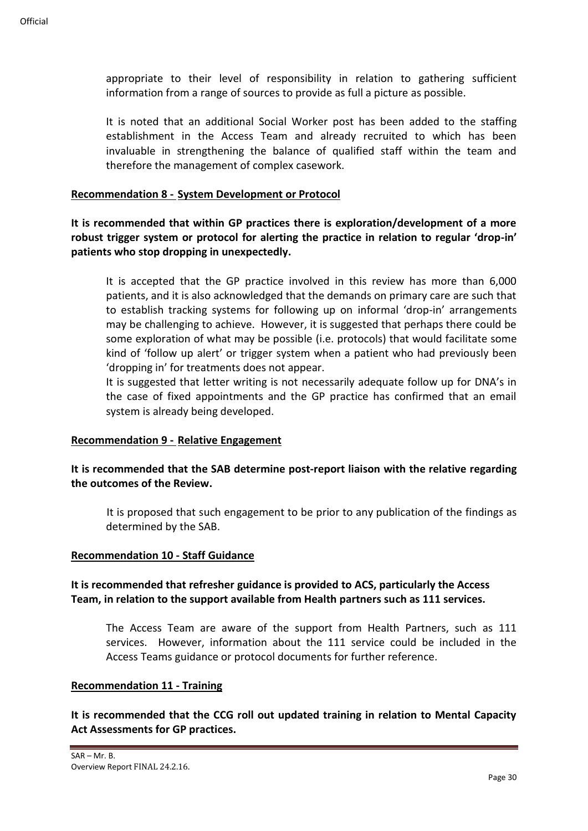appropriate to their level of responsibility in relation to gathering sufficient information from a range of sources to provide as full a picture as possible.

It is noted that an additional Social Worker post has been added to the staffing establishment in the Access Team and already recruited to which has been invaluable in strengthening the balance of qualified staff within the team and therefore the management of complex casework.

#### **Recommendation 8 - System Development or Protocol**

**It is recommended that within GP practices there is exploration/development of a more robust trigger system or protocol for alerting the practice in relation to regular 'drop-in' patients who stop dropping in unexpectedly.**

It is accepted that the GP practice involved in this review has more than 6,000 patients, and it is also acknowledged that the demands on primary care are such that to establish tracking systems for following up on informal 'drop-in' arrangements may be challenging to achieve. However, it is suggested that perhaps there could be some exploration of what may be possible (i.e. protocols) that would facilitate some kind of 'follow up alert' or trigger system when a patient who had previously been 'dropping in' for treatments does not appear.

It is suggested that letter writing is not necessarily adequate follow up for DNA's in the case of fixed appointments and the GP practice has confirmed that an email system is already being developed.

#### **Recommendation 9 - Relative Engagement**

### **It is recommended that the SAB determine post-report liaison with the relative regarding the outcomes of the Review.**

It is proposed that such engagement to be prior to any publication of the findings as determined by the SAB.

#### **Recommendation 10 - Staff Guidance**

### **It is recommended that refresher guidance is provided to ACS, particularly the Access Team, in relation to the support available from Health partners such as 111 services.**

The Access Team are aware of the support from Health Partners, such as 111 services. However, information about the 111 service could be included in the Access Teams guidance or protocol documents for further reference.

#### **Recommendation 11 - Training**

**It is recommended that the CCG roll out updated training in relation to Mental Capacity Act Assessments for GP practices.**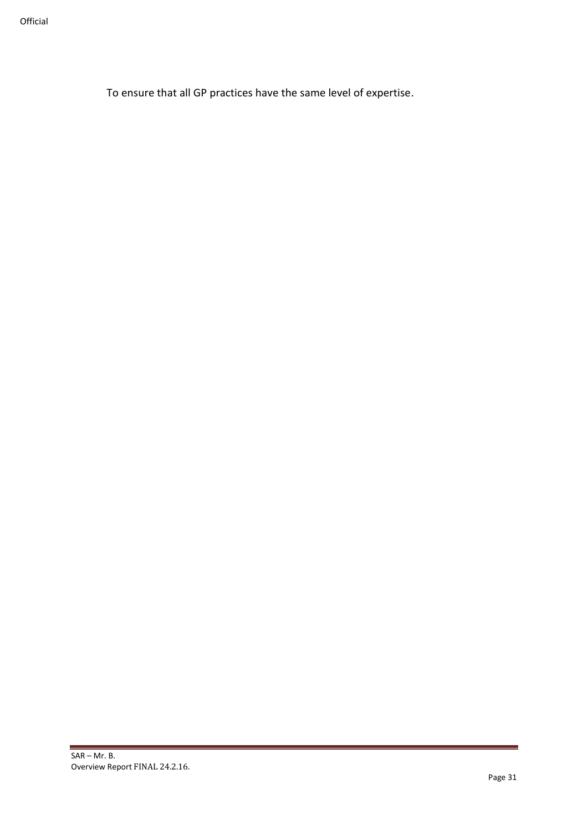To ensure that all GP practices have the same level of expertise.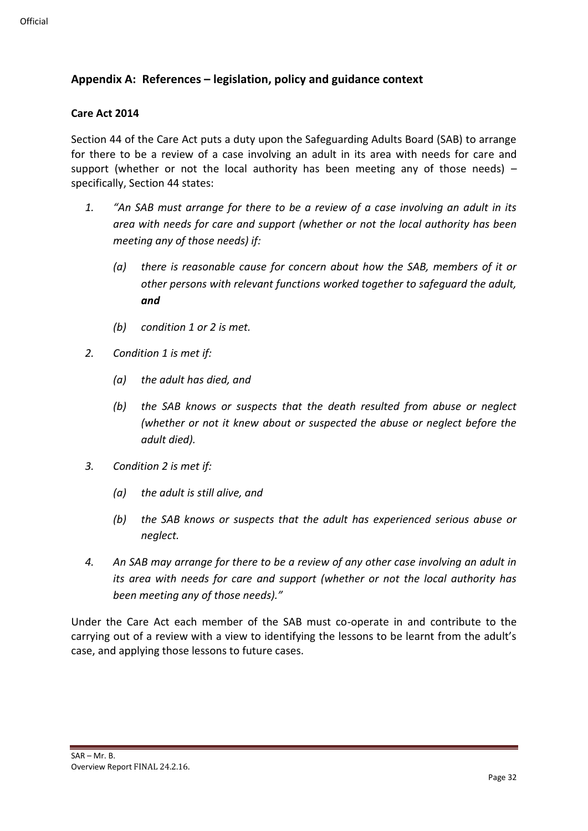### **Appendix A: References – legislation, policy and guidance context**

#### **Care Act 2014**

Section 44 of the Care Act puts a duty upon the Safeguarding Adults Board (SAB) to arrange for there to be a review of a case involving an adult in its area with needs for care and support (whether or not the local authority has been meeting any of those needs)  $$ specifically, Section 44 states:

- *1. "An SAB must arrange for there to be a review of a case involving an adult in its area with needs for care and support (whether or not the local authority has been meeting any of those needs) if:*
	- *(a) there is reasonable cause for concern about how the SAB, members of it or other persons with relevant functions worked together to safeguard the adult, and*
	- *(b) condition 1 or 2 is met.*
- *2. Condition 1 is met if:*
	- *(a) the adult has died, and*
	- *(b) the SAB knows or suspects that the death resulted from abuse or neglect (whether or not it knew about or suspected the abuse or neglect before the adult died).*
- *3. Condition 2 is met if:*
	- *(a) the adult is still alive, and*
	- *(b) the SAB knows or suspects that the adult has experienced serious abuse or neglect.*
- *4. An SAB may arrange for there to be a review of any other case involving an adult in its area with needs for care and support (whether or not the local authority has been meeting any of those needs)."*

Under the Care Act each member of the SAB must co-operate in and contribute to the carrying out of a review with a view to identifying the lessons to be learnt from the adult's case, and applying those lessons to future cases.